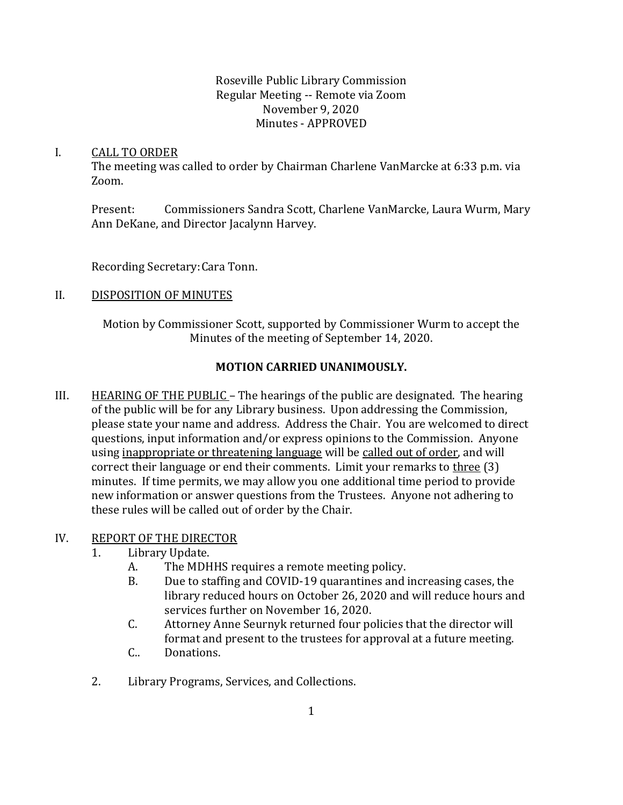### Roseville Public Library Commission Regular Meeting -- Remote via Zoom November 9, 2020 Minutes - APPROVED

### I. CALL TO ORDER

The meeting was called to order by Chairman Charlene VanMarcke at 6:33 p.m. via Zoom.

Present: Commissioners Sandra Scott, Charlene VanMarcke, Laura Wurm, Mary Ann DeKane, and Director Jacalynn Harvey.

Recording Secretary:Cara Tonn.

## II. DISPOSITION OF MINUTES

Motion by Commissioner Scott, supported by Commissioner Wurm to accept the Minutes of the meeting of September 14, 2020.

# **MOTION CARRIED UNANIMOUSLY.**

III. **HEARING OF THE PUBLIC** – The hearings of the public are designated. The hearing of the public will be for any Library business. Upon addressing the Commission, please state your name and address. Address the Chair. You are welcomed to direct questions, input information and/or express opinions to the Commission. Anyone using inappropriate or threatening language will be called out of order, and will correct their language or end their comments. Limit your remarks to three (3) minutes. If time permits, we may allow you one additional time period to provide new information or answer questions from the Trustees. Anyone not adhering to these rules will be called out of order by the Chair.

## IV. REPORT OF THE DIRECTOR

- 1. Library Update.
	- A. The MDHHS requires a remote meeting policy.
	- B. Due to staffing and COVID-19 quarantines and increasing cases, the library reduced hours on October 26, 2020 and will reduce hours and services further on November 16, 2020.
	- C. Attorney Anne Seurnyk returned four policies that the director will format and present to the trustees for approval at a future meeting.
	- C.. Donations.
- 2. Library Programs, Services, and Collections.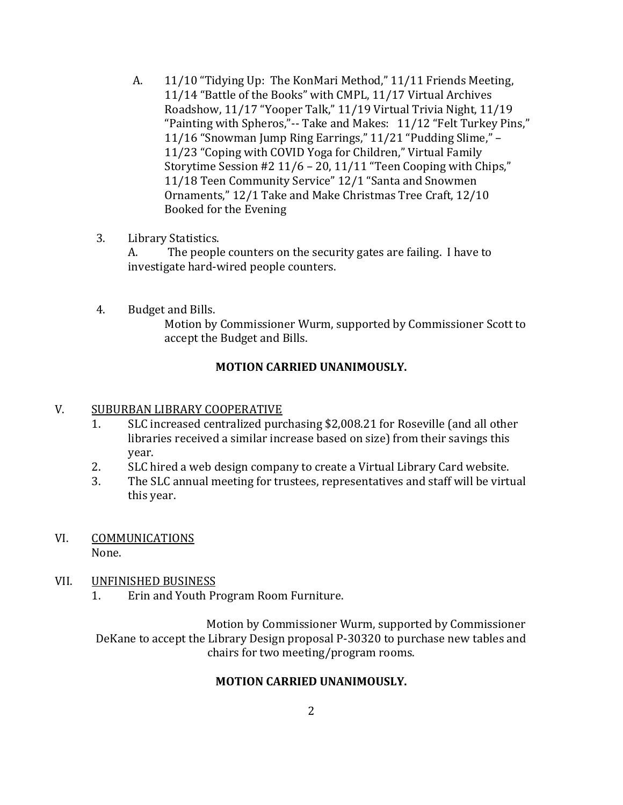- A. 11/10 "Tidying Up: The KonMari Method," 11/11 Friends Meeting, 11/14 "Battle of the Books" with CMPL, 11/17 Virtual Archives Roadshow, 11/17 "Yooper Talk," 11/19 Virtual Trivia Night, 11/19 "Painting with Spheros,"-- Take and Makes: 11/12 "Felt Turkey Pins," 11/16 "Snowman Jump Ring Earrings," 11/21 "Pudding Slime," – 11/23 "Coping with COVID Yoga for Children," Virtual Family Storytime Session #2 11/6 – 20, 11/11 "Teen Cooping with Chips," 11/18 Teen Community Service" 12/1 "Santa and Snowmen Ornaments," 12/1 Take and Make Christmas Tree Craft, 12/10 Booked for the Evening
- 3. Library Statistics.

A. The people counters on the security gates are failing. I have to investigate hard-wired people counters.

4. Budget and Bills.

Motion by Commissioner Wurm, supported by Commissioner Scott to accept the Budget and Bills.

## **MOTION CARRIED UNANIMOUSLY.**

#### V. SUBURBAN LIBRARY COOPERATIVE

- 1. SLC increased centralized purchasing \$2,008.21 for Roseville (and all other libraries received a similar increase based on size) from their savings this year.
- 2. SLC hired a web design company to create a Virtual Library Card website.
- 3. The SLC annual meeting for trustees, representatives and staff will be virtual this year.
- VI. COMMUNICATIONS None.

#### VII. UNFINISHED BUSINESS

1. Erin and Youth Program Room Furniture.

Motion by Commissioner Wurm, supported by Commissioner DeKane to accept the Library Design proposal P-30320 to purchase new tables and chairs for two meeting/program rooms.

#### **MOTION CARRIED UNANIMOUSLY.**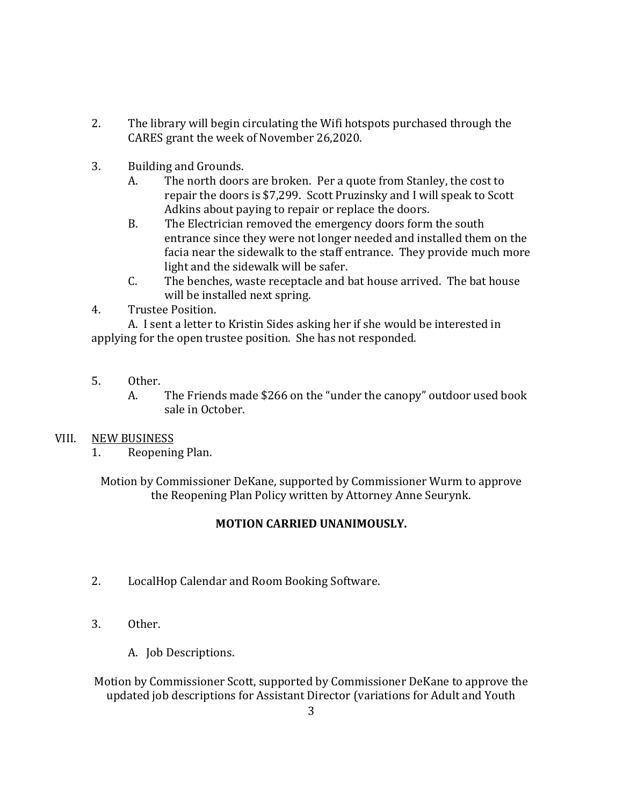- 2. The library will begin circulating the Wifi hotspots purchased through the CARES grant the week of November 26,2020.
- 3. Building and Grounds.
	- A. The north doors are broken. Per a quote from Stanley, the cost to repair the doors is \$7,299. Scott Pruzinsky and I will speak to Scott Adkins about paying to repair or replace the doors.
	- B. The Electrician removed the emergency doors form the south entrance since they were not longer needed and installed them on the facia near the sidewalk to the staff entrance. They provide much more light and the sidewalk will be safer.
	- C. The benches, waste receptacle and bat house arrived. The bat house will be installed next spring.
- 4. Trustee Position.

A. I sent a letter to Kristin Sides asking her if she would be interested in applying for the open trustee position. She has not responded.

- 5. Other.
	- A. The Friends made \$266 on the "under the canopy" outdoor used book sale in October.

## VIII. NEW BUSINESS

1. Reopening Plan.

Motion by Commissioner DeKane, supported by Commissioner Wurm to approve the Reopening Plan Policy written by Attorney Anne Seurynk.

## **MOTION CARRIED UNANIMOUSLY.**

- 2. LocalHop Calendar and Room Booking Software.
- 3. Other.
	- A. Job Descriptions.

Motion by Commissioner Scott, supported by Commissioner DeKane to approve the updated job descriptions for Assistant Director (variations for Adult and Youth